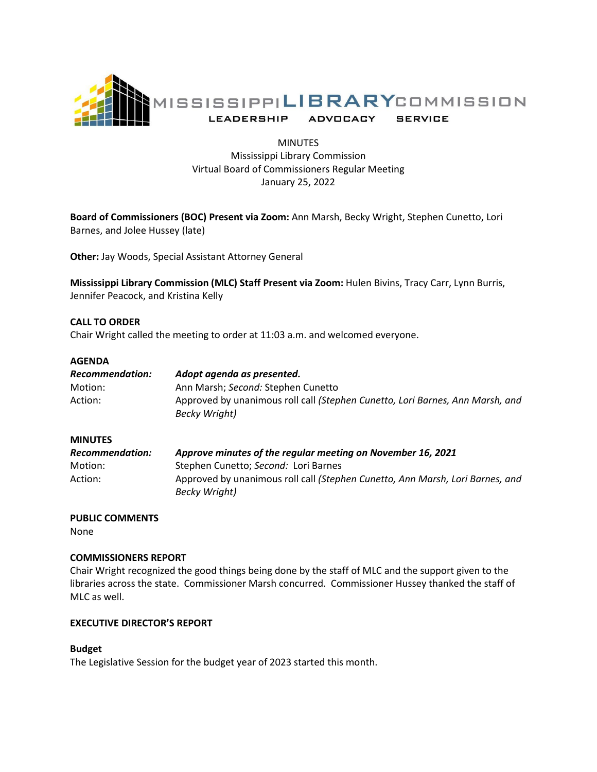

# MINUTES Mississippi Library Commission Virtual Board of Commissioners Regular Meeting January 25, 2022

**Board of Commissioners (BOC) Present via Zoom:** Ann Marsh, Becky Wright, Stephen Cunetto, Lori Barnes, and Jolee Hussey (late)

**Other:** Jay Woods, Special Assistant Attorney General

**Mississippi Library Commission (MLC) Staff Present via Zoom:** Hulen Bivins, Tracy Carr, Lynn Burris, Jennifer Peacock, and Kristina Kelly

## **CALL TO ORDER**

Chair Wright called the meeting to order at 11:03 a.m. and welcomed everyone.

### **AGENDA**

| Recommendation: | Adopt agenda as presented.                                                                     |
|-----------------|------------------------------------------------------------------------------------------------|
| Motion:         | Ann Marsh; Second: Stephen Cunetto                                                             |
| Action:         | Approved by unanimous roll call (Stephen Cunetto, Lori Barnes, Ann Marsh, and<br>Becky Wright) |

### **MINUTES**

| <b>Recommendation:</b> | Approve minutes of the regular meeting on November 16, 2021                                    |
|------------------------|------------------------------------------------------------------------------------------------|
| Motion:                | Stephen Cunetto; Second: Lori Barnes                                                           |
| Action:                | Approved by unanimous roll call (Stephen Cunetto, Ann Marsh, Lori Barnes, and<br>Becky Wright) |

### **PUBLIC COMMENTS**

None

## **COMMISSIONERS REPORT**

Chair Wright recognized the good things being done by the staff of MLC and the support given to the libraries across the state. Commissioner Marsh concurred. Commissioner Hussey thanked the staff of MLC as well.

### **EXECUTIVE DIRECTOR'S REPORT**

### **Budget**

The Legislative Session for the budget year of 2023 started this month.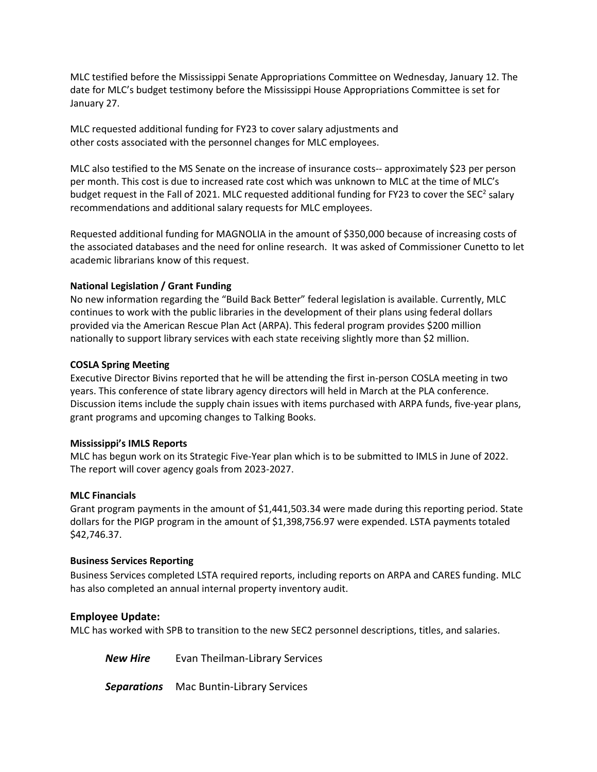MLC testified before the Mississippi Senate Appropriations Committee on Wednesday, January 12. The date for MLC's budget testimony before the Mississippi House Appropriations Committee is set for January 27.

MLC requested additional funding for FY23 to cover salary adjustments and other costs associated with the personnel changes for MLC employees.

MLC also testified to the MS Senate on the increase of insurance costs-- approximately \$23 per person per month. This cost is due to increased rate cost which was unknown to MLC at the time of MLC's budget request in the Fall of 2021. MLC requested additional funding for FY23 to cover the SEC<sup>2</sup> salary recommendations and additional salary requests for MLC employees.

Requested additional funding for MAGNOLIA in the amount of \$350,000 because of increasing costs of the associated databases and the need for online research. It was asked of Commissioner Cunetto to let academic librarians know of this request.

# **National Legislation / Grant Funding**

No new information regarding the "Build Back Better" federal legislation is available. Currently, MLC continues to work with the public libraries in the development of their plans using federal dollars provided via the American Rescue Plan Act (ARPA). This federal program provides \$200 million nationally to support library services with each state receiving slightly more than \$2 million.

# **COSLA Spring Meeting**

Executive Director Bivins reported that he will be attending the first in-person COSLA meeting in two years. This conference of state library agency directors will held in March at the PLA conference. Discussion items include the supply chain issues with items purchased with ARPA funds, five-year plans, grant programs and upcoming changes to Talking Books.

# **Mississippi's IMLS Reports**

MLC has begun work on its Strategic Five-Year plan which is to be submitted to IMLS in June of 2022. The report will cover agency goals from 2023-2027.

# **MLC Financials**

Grant program payments in the amount of \$1,441,503.34 were made during this reporting period. State dollars for the PIGP program in the amount of \$1,398,756.97 were expended. LSTA payments totaled \$42,746.37.

# **Business Services Reporting**

Business Services completed LSTA required reports, including reports on ARPA and CARES funding. MLC has also completed an annual internal property inventory audit.

# **Employee Update:**

MLC has worked with SPB to transition to the new SEC2 personnel descriptions, titles, and salaries.

**New Hire** Evan Theilman-Library Services

*Separations* Mac Buntin-Library Services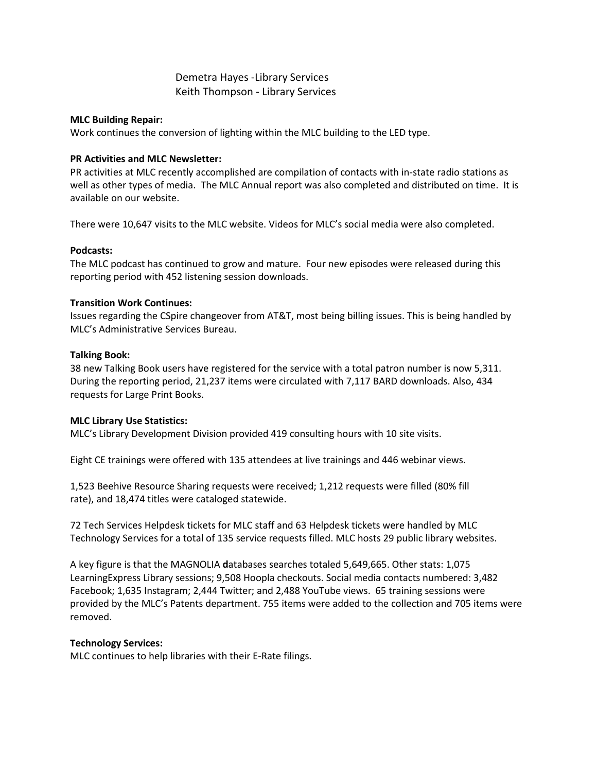# Demetra Hayes -Library Services Keith Thompson - Library Services

## **MLC Building Repair:**

Work continues the conversion of lighting within the MLC building to the LED type.

## **PR Activities and MLC Newsletter:**

PR activities at MLC recently accomplished are compilation of contacts with in-state radio stations as well as other types of media. The MLC Annual report was also completed and distributed on time. It is available on our website.

There were 10,647 visits to the MLC website. Videos for MLC's social media were also completed.

## **Podcasts:**

The MLC podcast has continued to grow and mature. Four new episodes were released during this reporting period with 452 listening session downloads.

## **Transition Work Continues:**

Issues regarding the CSpire changeover from AT&T, most being billing issues. This is being handled by MLC's Administrative Services Bureau.

### **Talking Book:**

38 new Talking Book users have registered for the service with a total patron number is now 5,311. During the reporting period, 21,237 items were circulated with 7,117 BARD downloads. Also, 434 requests for Large Print Books.

# **MLC Library Use Statistics:**

MLC's Library Development Division provided 419 consulting hours with 10 site visits.

Eight CE trainings were offered with 135 attendees at live trainings and 446 webinar views.

1,523 Beehive Resource Sharing requests were received; 1,212 requests were filled (80% fill rate), and 18,474 titles were cataloged statewide.

72 Tech Services Helpdesk tickets for MLC staff and 63 Helpdesk tickets were handled by MLC Technology Services for a total of 135 service requests filled. MLC hosts 29 public library websites.

A key figure is that the MAGNOLIA **d**atabases searches totaled 5,649,665. Other stats: 1,075 LearningExpress Library sessions; 9,508 Hoopla checkouts. Social media contacts numbered: 3,482 Facebook; 1,635 Instagram; 2,444 Twitter; and 2,488 YouTube views. 65 training sessions were provided by the MLC's Patents department. 755 items were added to the collection and 705 items were removed.

# **Technology Services:**

MLC continues to help libraries with their E-Rate filings.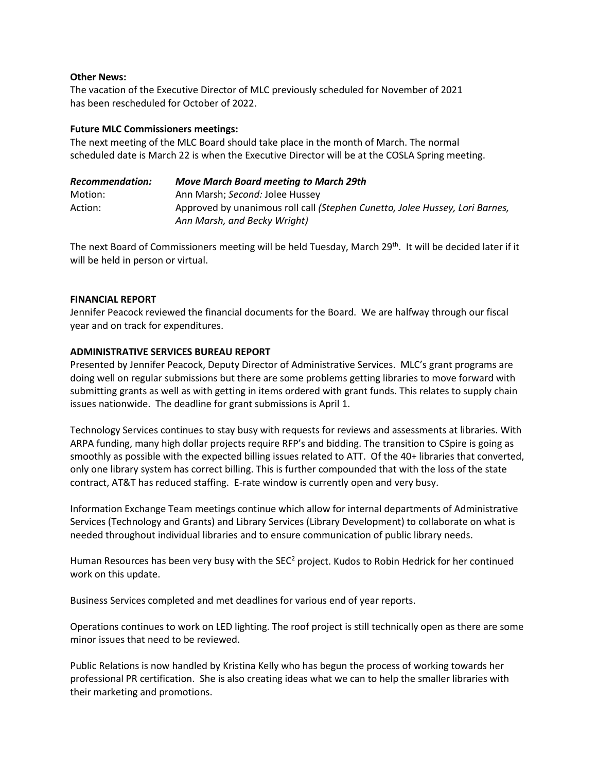## **Other News:**

The vacation of the Executive Director of MLC previously scheduled for November of 2021 has been rescheduled for October of 2022.

## **Future MLC Commissioners meetings:**

The next meeting of the MLC Board should take place in the month of March. The normal scheduled date is March 22 is when the Executive Director will be at the COSLA Spring meeting.

| Recommendation: | <b>Move March Board meeting to March 29th</b>                                |
|-----------------|------------------------------------------------------------------------------|
| Motion:         | Ann Marsh; Second: Jolee Hussey                                              |
| Action:         | Approved by unanimous roll call (Stephen Cunetto, Jolee Hussey, Lori Barnes, |
|                 | Ann Marsh, and Becky Wright)                                                 |

The next Board of Commissioners meeting will be held Tuesday, March 29<sup>th</sup>. It will be decided later if it will be held in person or virtual.

## **FINANCIAL REPORT**

Jennifer Peacock reviewed the financial documents for the Board. We are halfway through our fiscal year and on track for expenditures.

## **ADMINISTRATIVE SERVICES BUREAU REPORT**

Presented by Jennifer Peacock, Deputy Director of Administrative Services. MLC's grant programs are doing well on regular submissions but there are some problems getting libraries to move forward with submitting grants as well as with getting in items ordered with grant funds. This relates to supply chain issues nationwide. The deadline for grant submissions is April 1.

Technology Services continues to stay busy with requests for reviews and assessments at libraries. With ARPA funding, many high dollar projects require RFP's and bidding. The transition to CSpire is going as smoothly as possible with the expected billing issues related to ATT. Of the 40+ libraries that converted, only one library system has correct billing. This is further compounded that with the loss of the state contract, AT&T has reduced staffing. E-rate window is currently open and very busy.

Information Exchange Team meetings continue which allow for internal departments of Administrative Services (Technology and Grants) and Library Services (Library Development) to collaborate on what is needed throughout individual libraries and to ensure communication of public library needs.

Human Resources has been very busy with the SEC<sup>2</sup> project. Kudos to Robin Hedrick for her continued work on this update.

Business Services completed and met deadlines for various end of year reports.

Operations continues to work on LED lighting. The roof project is still technically open as there are some minor issues that need to be reviewed.

Public Relations is now handled by Kristina Kelly who has begun the process of working towards her professional PR certification. She is also creating ideas what we can to help the smaller libraries with their marketing and promotions.